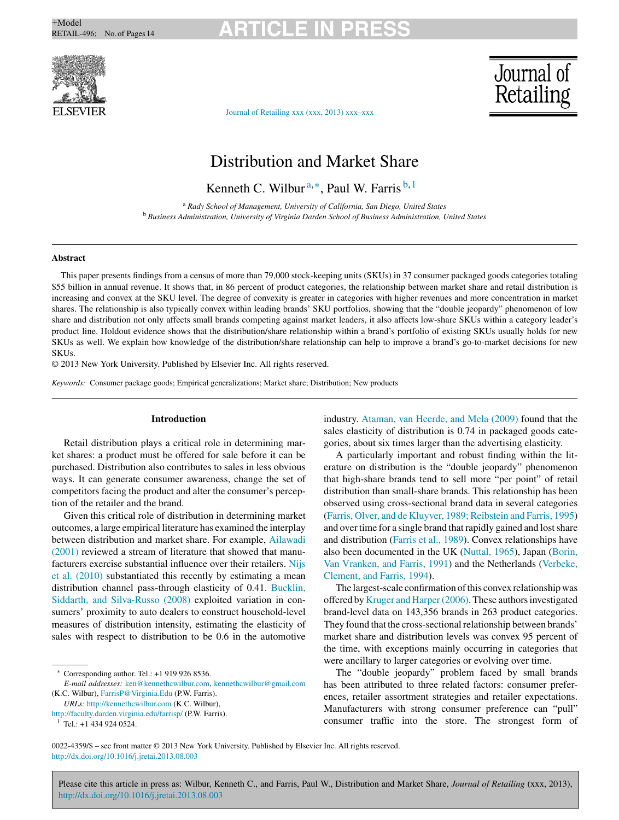## $+$ Model<br>RETAIL-496; No. of Pages 14 **ARTICLE IN PRESS**



# Journal of<br>Retailing

Journal of [Retailing](dx.doi.org/10.1016/j.jretai.2013.08.003) xxx (xxx, 2013) xxx–xxx

### Distribution and Market Share

Kenneth C. Wilbur <sup>a</sup>*,*∗, Paul W. Farris <sup>b</sup>*,*<sup>1</sup>

<sup>a</sup> *Rady School of Management, University of California, San Diego, United States* <sup>b</sup> *Business Administration, University of Virginia Darden School of Business Administration, United States*

#### **Abstract**

This paper presents findings from a census of more than 79,000 stock-keeping units (SKUs) in 37 consumer packaged goods categories totaling \$55 billion in annual revenue. It shows that, in 86 percent of product categories, the relationship between market share and retail distribution is increasing and convex at the SKU level. The degree of convexity is greater in categories with higher revenues and more concentration in market shares. The relationship is also typically convex within leading brands' SKU portfolios, showing that the "double jeopardy" phenomenon of low share and distribution not only affects small brands competing against market leaders, it also affects low-share SKUs within a category leader's product line. Holdout evidence shows that the distribution/share relationship within a brand's portfolio of existing SKUs usually holds for new SKUs as well. We explain how knowledge of the distribution/share relationship can help to improve a brand's go-to-market decisions for new **SKUs** 

© 2013 New York University. Published by Elsevier Inc. All rights reserved.

*Keywords:* Consumer package goods; Empirical generalizations; Market share; Distribution; New products

#### **Introduction**

Retail distribution plays a critical role in determining market shares: a product must be offered for sale before it can be purchased. Distribution also contributes to sales in less obvious ways. It can generate consumer awareness, change the set of competitors facing the product and alter the consumer's perception of the retailer and the brand.

Given this critical role of distribution in determining market outcomes, a large empirical literature has examined the interplay between distribution and market share. For example, [Ailawadi](#page--1-0) [\(2001\)](#page--1-0) reviewed a stream of literature that showed that manufacturers exercise substantial influence over their retailers. [Nijs](#page--1-0) et [al.](#page--1-0) [\(2010\)](#page--1-0) substantiated this recently by estimating a mean distribution channel pass-through elasticity of 0.41. [Bucklin,](#page--1-0) [Siddarth,](#page--1-0) [and](#page--1-0) [Silva-Russo](#page--1-0) [\(2008\)](#page--1-0) exploited variation in consumers' proximity to auto dealers to construct household-level measures of distribution intensity, estimating the elasticity of sales with respect to distribution to be 0.6 in the automotive

*URLs:* <http://kennethcwilbur.com> (K.C. Wilbur),

<http://faculty.darden.virginia.edu/farrisp/> (P.W. Farris). <sup>1</sup> Tel.: +1 434 924 0524.

industry. [Ataman,](#page--1-0) [van](#page--1-0) [Heerde,](#page--1-0) [and](#page--1-0) [Mela](#page--1-0) [\(2009\)](#page--1-0) found that the sales elasticity of distribution is 0.74 in packaged goods categories, about six times larger than the advertising elasticity.

A particularly important and robust finding within the literature on distribution is the "double jeopardy" phenomenon that high-share brands tend to sell more "per point" of retail distribution than small-share brands. This relationship has been observed using cross-sectional brand data in several categories ([Farris,](#page--1-0) [Olver,](#page--1-0) [and](#page--1-0) [de](#page--1-0) [Kluyver,](#page--1-0) [1989;](#page--1-0) [Reibstein](#page--1-0) [and](#page--1-0) [Farris,](#page--1-0) [1995\)](#page--1-0) and over time for a single brand that rapidly gained and lost share and distribution [\(Farris](#page--1-0) et [al.,](#page--1-0) [1989\).](#page--1-0) Convex relationships have also been documented in the UK ([Nuttal,](#page--1-0) [1965\),](#page--1-0) Japan [\(Borin,](#page--1-0) [Van](#page--1-0) [Vranken,](#page--1-0) [and](#page--1-0) [Farris,](#page--1-0) [1991\)](#page--1-0) and the Netherlands ([Verbeke,](#page--1-0) [Clement,](#page--1-0) [and](#page--1-0) [Farris,](#page--1-0) [1994\).](#page--1-0)

The largest-scale confirmation of this convex relationship was offered by [Kruger](#page--1-0) [and](#page--1-0) [Harper\(2006\).](#page--1-0) These authorsinvestigated brand-level data on 143,356 brands in 263 product categories. They found that the cross-sectional relationship between brands' market share and distribution levels was convex 95 percent of the time, with exceptions mainly occurring in categories that were ancillary to larger categories or evolving over time.

The "double jeopardy" problem faced by small brands has been attributed to three related factors: consumer preferences, retailer assortment strategies and retailer expectations. Manufacturers with strong consumer preference can "pull" consumer traffic into the store. The strongest form of

0022-4359/\$ – see front matter © 2013 New York University. Published by Elsevier Inc. All rights reserved. [http://dx.doi.org/10.1016/j.jretai.2013.08.003](dx.doi.org/10.1016/j.jretai.2013.08.003)

Please cite this article in press as: Wilbur, Kenneth C., and Farris, Paul W., Distribution and Market Share, *Journal of Retailing* (xxx, 2013), [http://dx.doi.org/10.1016/j.jretai.2013.08.003](dx.doi.org/10.1016/j.jretai.2013.08.003)

Corresponding author. Tel.: +1 919 926 8536.

*E-mail addresses:* [ken@kennethcwilbur.com,](mailto:ken@kennethcwilbur.com) [kennethcwilbur@gmail.com](mailto:kennethcwilbur@gmail.com) (K.C. Wilbur), [FarrisP@Virginia.Edu](mailto:FarrisP@Virginia.Edu) (P.W. Farris).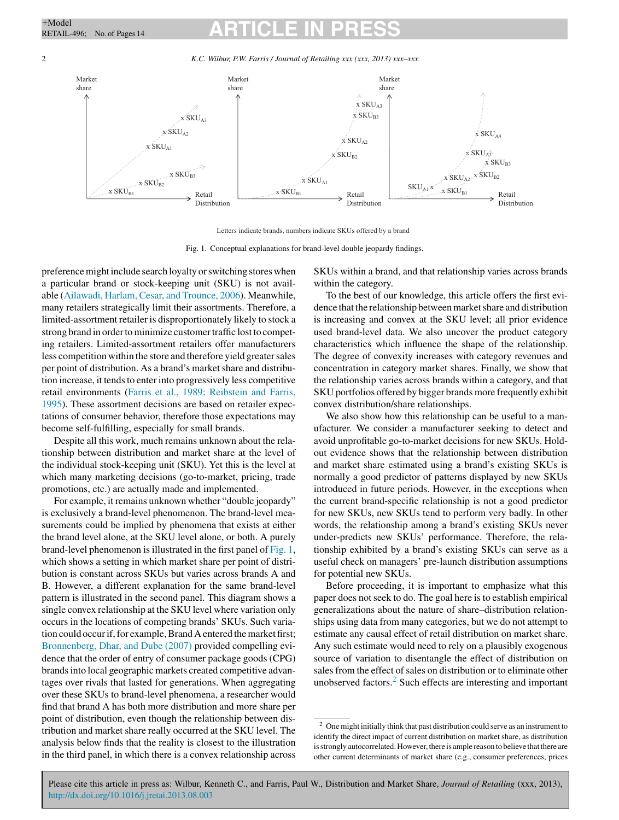# $+$ Model<br>RETAIL-496; No. of Pages 14 **ARTICLE IN PRESS**

2 *K.C. Wilbur, P.W. Farris / Journal of Retailing xxx (xxx, 2013) xxx–xxx*



Letters indicate brands, numbers indicate SKUs offered by a brand

Fig. 1. Conceptual explanations for brand-level double jeopardy findings.

preference might include search loyalty or switching stores when a particular brand or stock-keeping unit (SKU) is not available ([Ailawadi,](#page--1-0) [Harlam,](#page--1-0) [Cesar,](#page--1-0) [and](#page--1-0) [Trounce,](#page--1-0) [2006\).](#page--1-0) Meanwhile, many retailers strategically limit their assortments. Therefore, a limited-assortment retailer is disproportionately likely to stock a strong brand in order to minimize customer traffic lost to competing retailers. Limited-assortment retailers offer manufacturers less competition within the store and therefore yield greater sales per point of distribution. As a brand's market share and distribution increase, it tends to enter into progressively less competitive retail environments [\(Farris](#page--1-0) et [al.,](#page--1-0) [1989;](#page--1-0) [Reibstein](#page--1-0) [and](#page--1-0) [Farris,](#page--1-0) [1995\).](#page--1-0) These assortment decisions are based on retailer expectations of consumer behavior, therefore those expectations may become self-fulfilling, especially for small brands.

Despite all this work, much remains unknown about the relationship between distribution and market share at the level of the individual stock-keeping unit (SKU). Yet this is the level at which many marketing decisions (go-to-market, pricing, trade promotions, etc.) are actually made and implemented.

For example, it remains unknown whether "double jeopardy" is exclusively a brand-level phenomenon. The brand-level measurements could be implied by phenomena that exists at either the brand level alone, at the SKU level alone, or both. A purely brand-level phenomenon is illustrated in the first panel of Fig. 1, which shows a setting in which market share per point of distribution is constant across SKUs but varies across brands A and B. However, a different explanation for the same brand-level pattern is illustrated in the second panel. This diagram shows a single convex relationship at the SKU level where variation only occurs in the locations of competing brands' SKUs. Such variation could occur if, for example, Brand A entered the market first; [Bronnenberg,](#page--1-0) [Dhar,](#page--1-0) [and](#page--1-0) [Dube](#page--1-0) [\(2007\)](#page--1-0) provided compelling evidence that the order of entry of consumer package goods (CPG) brandsinto local geographic markets created competitive advantages over rivals that lasted for generations. When aggregating over these SKUs to brand-level phenomena, a researcher would find that brand A has both more distribution and more share per point of distribution, even though the relationship between distribution and market share really occurred at the SKU level. The analysis below finds that the reality is closest to the illustration in the third panel, in which there is a convex relationship across

SKUs within a brand, and that relationship varies across brands within the category.

To the best of our knowledge, this article offers the first evidence that the relationship between market share and distribution is increasing and convex at the SKU level; all prior evidence used brand-level data. We also uncover the product category characteristics which influence the shape of the relationship. The degree of convexity increases with category revenues and concentration in category market shares. Finally, we show that the relationship varies across brands within a category, and that SKU portfolios offered by bigger brands more frequently exhibit convex distribution/share relationships.

We also show how this relationship can be useful to a manufacturer. We consider a manufacturer seeking to detect and avoid unprofitable go-to-market decisions for new SKUs. Holdout evidence shows that the relationship between distribution and market share estimated using a brand's existing SKUs is normally a good predictor of patterns displayed by new SKUs introduced in future periods. However, in the exceptions when the current brand-specific relationship is not a good predictor for new SKUs, new SKUs tend to perform very badly. In other words, the relationship among a brand's existing SKUs never under-predicts new SKUs' performance. Therefore, the relationship exhibited by a brand's existing SKUs can serve as a useful check on managers' pre-launch distribution assumptions for potential new SKUs.

Before proceeding, it is important to emphasize what this paper does not seek to do. The goal here is to establish empirical generalizations about the nature of share–distribution relationships using data from many categories, but we do not attempt to estimate any causal effect of retail distribution on market share. Any such estimate would need to rely on a plausibly exogenous source of variation to disentangle the effect of distribution on sales from the effect of sales on distribution or to eliminate other unobserved factors.<sup>2</sup> Such effects are interesting and important

Please cite this article in press as: Wilbur, Kenneth C., and Farris, Paul W., Distribution and Market Share, *Journal of Retailing* (xxx, 2013), [http://dx.doi.org/10.1016/j.jretai.2013.08.003](dx.doi.org/10.1016/j.jretai.2013.08.003)

 $2$  One might initially think that past distribution could serve as an instrument to identify the direct impact of current distribution on market share, as distribution is strongly autocorrelated. However, there is ample reason to believe that there are other current determinants of market share (e.g., consumer preferences, prices